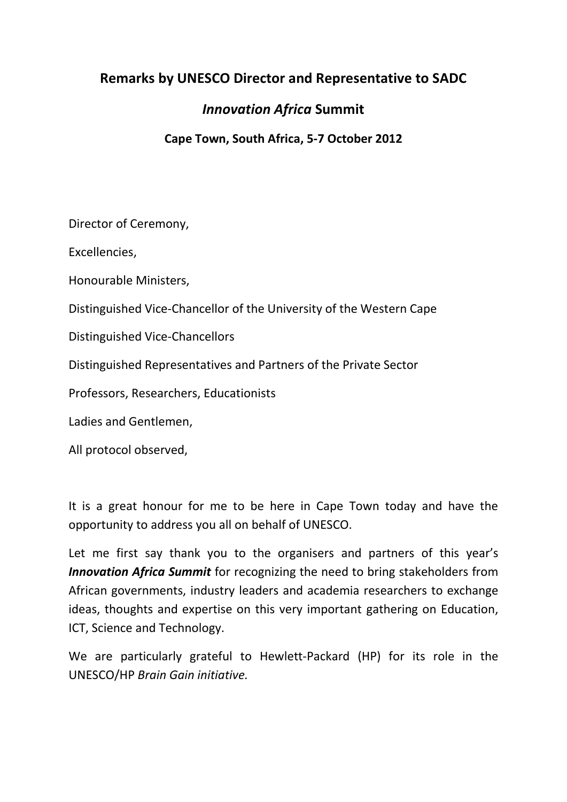## **Remarks by UNESCO Director and Representative to SADC**

## *Innovation Africa* **Summit**

**Cape Town, South Africa, 5-7 October 2012**

Director of Ceremony,

Excellencies,

Honourable Ministers,

Distinguished Vice-Chancellor of the University of the Western Cape

Distinguished Vice-Chancellors

Distinguished Representatives and Partners of the Private Sector

Professors, Researchers, Educationists

Ladies and Gentlemen,

All protocol observed,

It is a great honour for me to be here in Cape Town today and have the opportunity to address you all on behalf of UNESCO.

Let me first say thank you to the organisers and partners of this year's *Innovation Africa Summit* for recognizing the need to bring stakeholders from African governments, industry leaders and academia researchers to exchange ideas, thoughts and expertise on this very important gathering on Education, ICT, Science and Technology.

We are particularly grateful to Hewlett-Packard (HP) for its role in the UNESCO/HP *Brain Gain initiative.*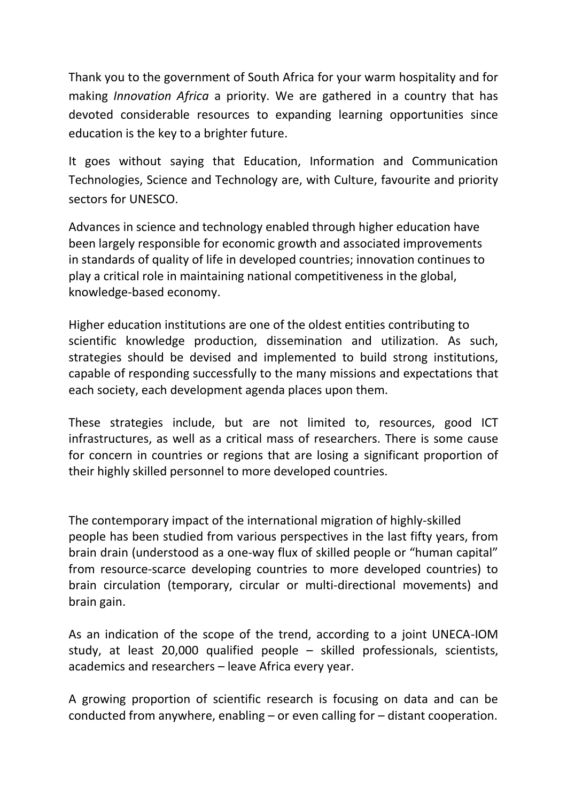Thank you to the government of South Africa for your warm hospitality and for making *Innovation Africa* a priority. We are gathered in a country that has devoted considerable resources to expanding learning opportunities since education is the key to a brighter future.

It goes without saying that Education, Information and Communication Technologies, Science and Technology are, with Culture, favourite and priority sectors for UNESCO.

Advances in science and technology enabled through higher education have been largely responsible for economic growth and associated improvements in standards of quality of life in developed countries; innovation continues to play a critical role in maintaining national competitiveness in the global, knowledge-based economy.

Higher education institutions are one of the oldest entities contributing to scientific knowledge production, dissemination and utilization. As such, strategies should be devised and implemented to build strong institutions, capable of responding successfully to the many missions and expectations that each society, each development agenda places upon them.

These strategies include, but are not limited to, resources, good ICT infrastructures, as well as a critical mass of researchers. There is some cause for concern in countries or regions that are losing a significant proportion of their highly skilled personnel to more developed countries.

The contemporary impact of the international migration of highly-skilled people has been studied from various perspectives in the last fifty years, from brain drain (understood as a one-way flux of skilled people or "human capital" from resource-scarce developing countries to more developed countries) to brain circulation (temporary, circular or multi-directional movements) and brain gain.

As an indication of the scope of the trend, according to a joint UNECA-IOM study, at least 20,000 qualified people – skilled professionals, scientists, academics and researchers – leave Africa every year.

A growing proportion of scientific research is focusing on data and can be conducted from anywhere, enabling – or even calling for – distant cooperation.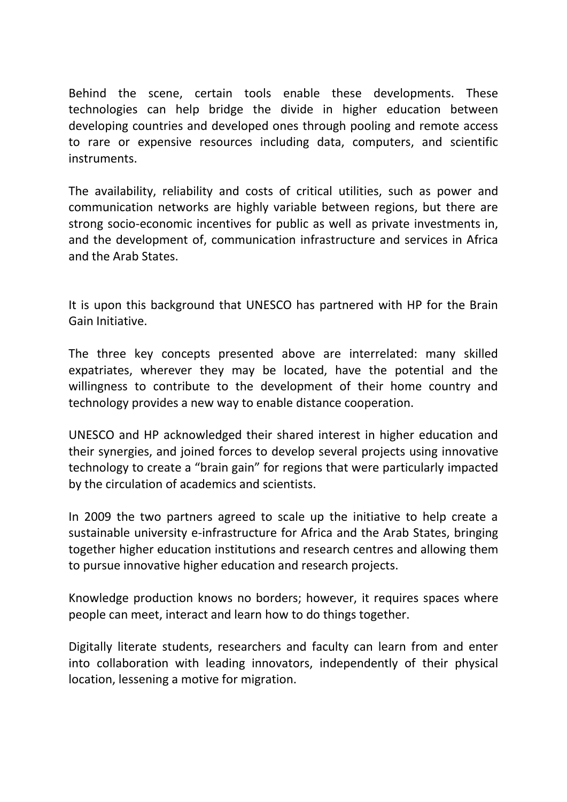Behind the scene, certain tools enable these developments. These technologies can help bridge the divide in higher education between developing countries and developed ones through pooling and remote access to rare or expensive resources including data, computers, and scientific instruments.

The availability, reliability and costs of critical utilities, such as power and communication networks are highly variable between regions, but there are strong socio-economic incentives for public as well as private investments in, and the development of, communication infrastructure and services in Africa and the Arab States.

It is upon this background that UNESCO has partnered with HP for the Brain Gain Initiative.

The three key concepts presented above are interrelated: many skilled expatriates, wherever they may be located, have the potential and the willingness to contribute to the development of their home country and technology provides a new way to enable distance cooperation.

UNESCO and HP acknowledged their shared interest in higher education and their synergies, and joined forces to develop several projects using innovative technology to create a "brain gain" for regions that were particularly impacted by the circulation of academics and scientists.

In 2009 the two partners agreed to scale up the initiative to help create a sustainable university e-infrastructure for Africa and the Arab States, bringing together higher education institutions and research centres and allowing them to pursue innovative higher education and research projects.

Knowledge production knows no borders; however, it requires spaces where people can meet, interact and learn how to do things together.

Digitally literate students, researchers and faculty can learn from and enter into collaboration with leading innovators, independently of their physical location, lessening a motive for migration.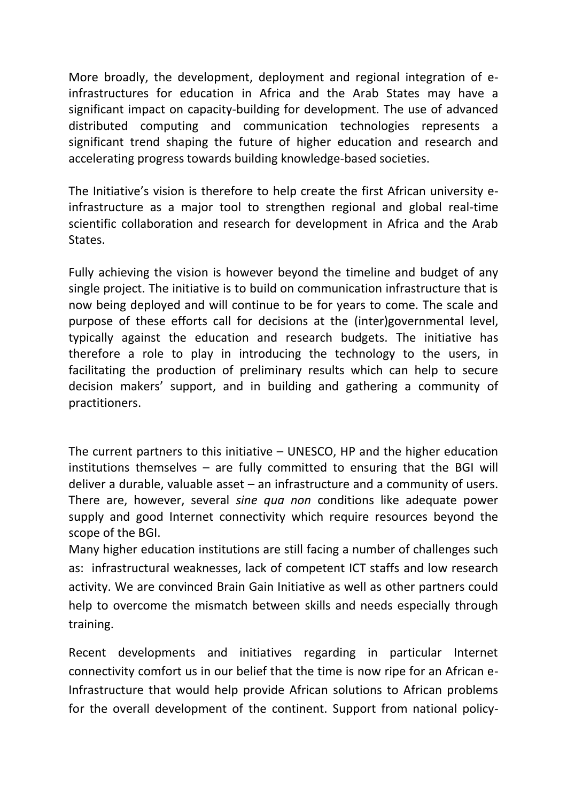More broadly, the development, deployment and regional integration of einfrastructures for education in Africa and the Arab States may have a significant impact on capacity-building for development. The use of advanced distributed computing and communication technologies represents a significant trend shaping the future of higher education and research and accelerating progress towards building knowledge-based societies.

The Initiative's vision is therefore to help create the first African university einfrastructure as a major tool to strengthen regional and global real-time scientific collaboration and research for development in Africa and the Arab States.

Fully achieving the vision is however beyond the timeline and budget of any single project. The initiative is to build on communication infrastructure that is now being deployed and will continue to be for years to come. The scale and purpose of these efforts call for decisions at the (inter)governmental level, typically against the education and research budgets. The initiative has therefore a role to play in introducing the technology to the users, in facilitating the production of preliminary results which can help to secure decision makers' support, and in building and gathering a community of practitioners.

The current partners to this initiative – UNESCO, HP and the higher education institutions themselves – are fully committed to ensuring that the BGI will deliver a durable, valuable asset – an infrastructure and a community of users. There are, however, several *sine qua non* conditions like adequate power supply and good Internet connectivity which require resources beyond the scope of the BGI.

Many higher education institutions are still facing a number of challenges such as: infrastructural weaknesses, lack of competent ICT staffs and low research activity. We are convinced Brain Gain Initiative as well as other partners could help to overcome the mismatch between skills and needs especially through training.

Recent developments and initiatives regarding in particular Internet connectivity comfort us in our belief that the time is now ripe for an African e-Infrastructure that would help provide African solutions to African problems for the overall development of the continent. Support from national policy-